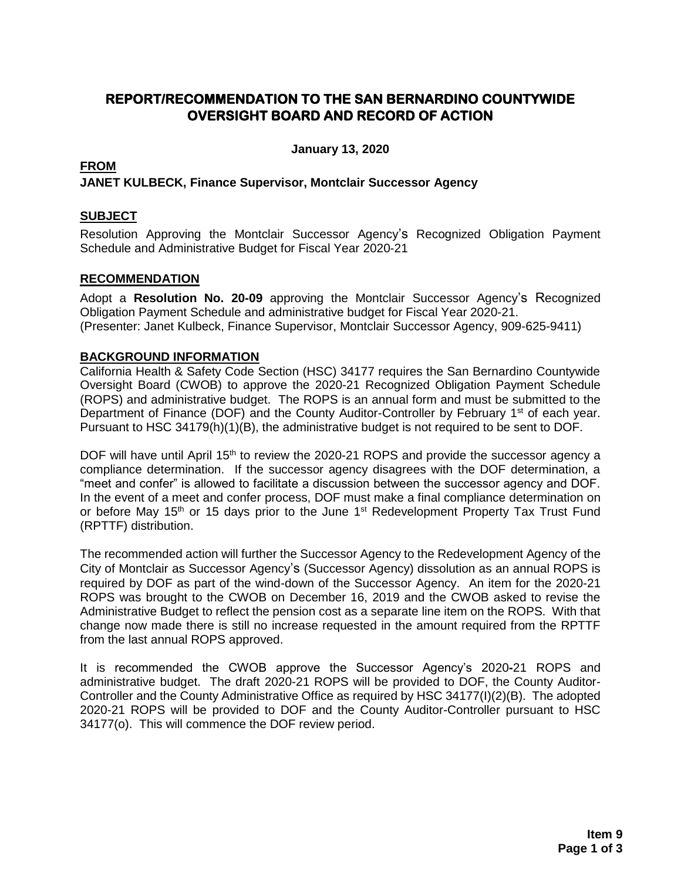## **REPORT/RECOMMENDATION TO THE SAN BERNARDINO COUNTYWIDE OVERSIGHT BOARD AND RECORD OF ACTION**

**January 13, 2020**

#### **FROM**

**JANET KULBECK, Finance Supervisor, Montclair Successor Agency**

#### **SUBJECT**

Resolution Approving the Montclair Successor Agency's Recognized Obligation Payment Schedule and Administrative Budget for Fiscal Year 2020-21

#### **RECOMMENDATION**

Adopt a **Resolution No. 20-09** approving the Montclair Successor Agency's Recognized Obligation Payment Schedule and administrative budget for Fiscal Year 2020-21. (Presenter: Janet Kulbeck, Finance Supervisor, Montclair Successor Agency, 909-625-9411)

#### **BACKGROUND INFORMATION**

California Health & Safety Code Section (HSC) 34177 requires the San Bernardino Countywide Oversight Board (CWOB) to approve the 2020-21 Recognized Obligation Payment Schedule (ROPS) and administrative budget. The ROPS is an annual form and must be submitted to the Department of Finance (DOF) and the County Auditor-Controller by February 1<sup>st</sup> of each year. Pursuant to HSC 34179(h)(1)(B), the administrative budget is not required to be sent to DOF.

DOF will have until April 15<sup>th</sup> to review the 2020-21 ROPS and provide the successor agency a compliance determination. If the successor agency disagrees with the DOF determination, a "meet and confer" is allowed to facilitate a discussion between the successor agency and DOF. In the event of a meet and confer process, DOF must make a final compliance determination on or before May 15<sup>th</sup> or 15 days prior to the June 1<sup>st</sup> Redevelopment Property Tax Trust Fund (RPTTF) distribution.

The recommended action will further the Successor Agency to the Redevelopment Agency of the City of Montclair as Successor Agency's (Successor Agency) dissolution as an annual ROPS is required by DOF as part of the wind-down of the Successor Agency. An item for the 2020-21 ROPS was brought to the CWOB on December 16, 2019 and the CWOB asked to revise the Administrative Budget to reflect the pension cost as a separate line item on the ROPS. With that change now made there is still no increase requested in the amount required from the RPTTF from the last annual ROPS approved.

It is recommended the CWOB approve the Successor Agency's 2020**-**21 ROPS and administrative budget. The draft 2020-21 ROPS will be provided to DOF, the County Auditor-Controller and the County Administrative Office as required by HSC 34177(I)(2)(B). The adopted 2020-21 ROPS will be provided to DOF and the County Auditor-Controller pursuant to HSC 34177(o). This will commence the DOF review period.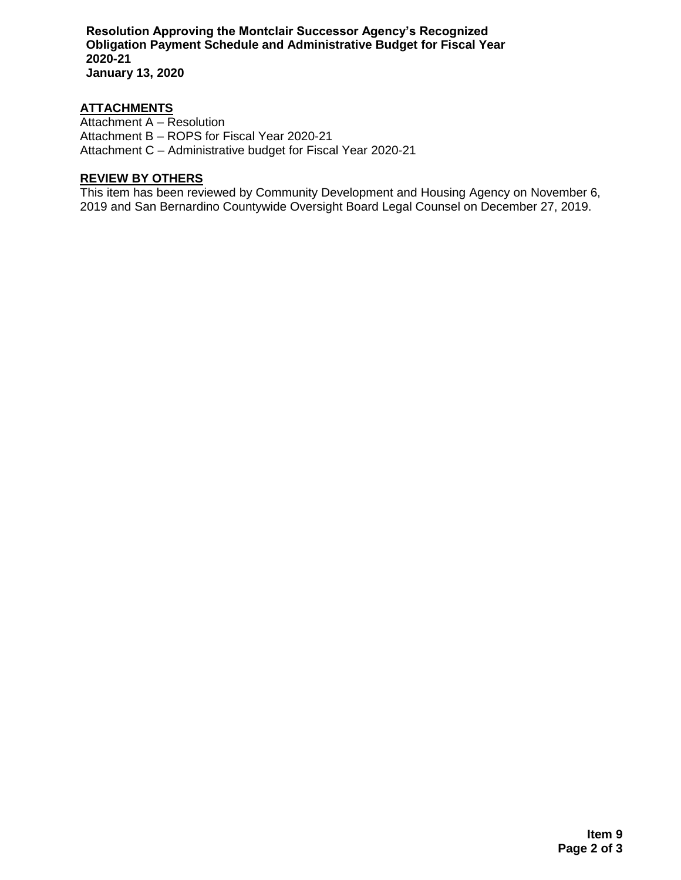**Resolution Approving the Montclair Successor Agency's Recognized Obligation Payment Schedule and Administrative Budget for Fiscal Year 2020-21 January 13, 2020**

#### **ATTACHMENTS**

Attachment A – Resolution Attachment B – ROPS for Fiscal Year 2020-21 Attachment C – Administrative budget for Fiscal Year 2020-21

## **REVIEW BY OTHERS**

This item has been reviewed by Community Development and Housing Agency on November 6, 2019 and San Bernardino Countywide Oversight Board Legal Counsel on December 27, 2019.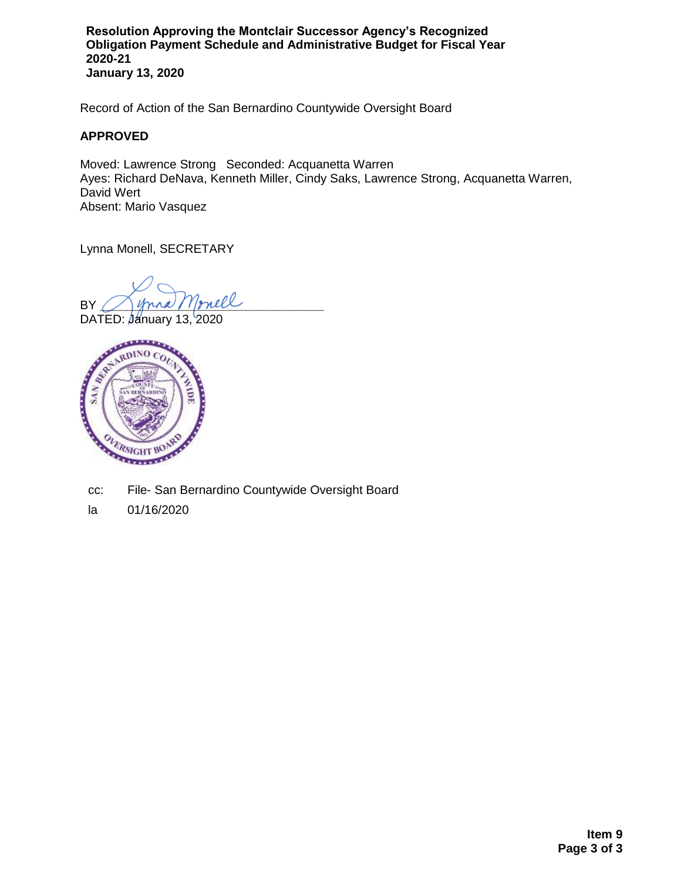**Resolution Approving the Montclair Successor Agency's Recognized Obligation Payment Schedule and Administrative Budget for Fiscal Year 2020-21 January 13, 2020**

Record of Action of the San Bernardino Countywide Oversight Board

#### **APPROVED**

Moved: Lawrence Strong Seconded: Acquanetta Warren Ayes: Richard DeNava, Kenneth Miller, Cindy Saks, Lawrence Strong, Acquanetta Warren, David Wert Absent: Mario Vasquez

Lynna Monell, SECRETARY

BY Monell

DATED: January 13, 2020



- cc: File- San Bernardino Countywide Oversight Board
- la 01/16/2020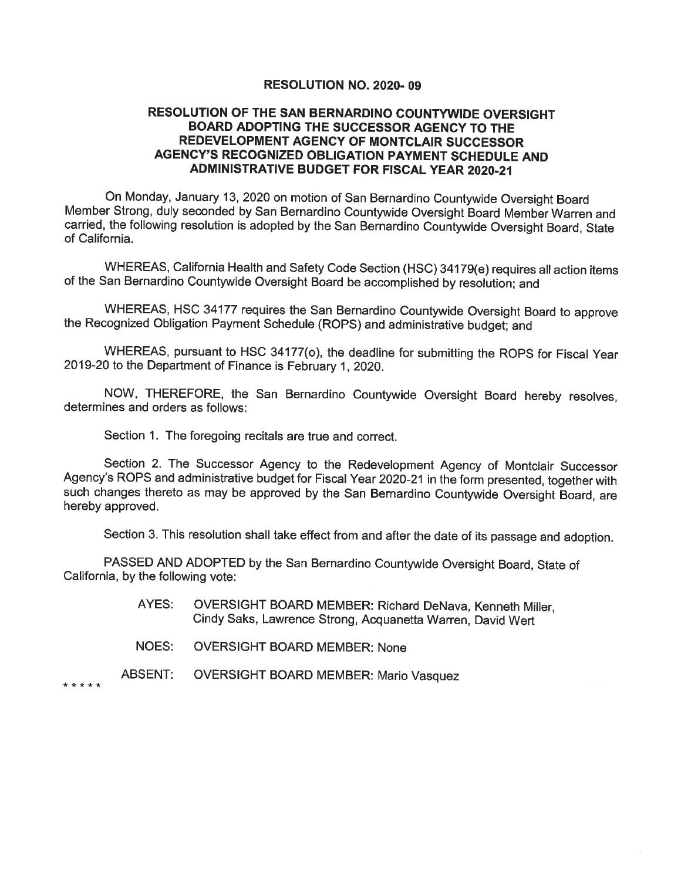#### **RESOLUTION NO. 2020-09**

#### RESOLUTION OF THE SAN BERNARDINO COUNTYWIDE OVERSIGHT BOARD ADOPTING THE SUCCESSOR AGENCY TO THE REDEVELOPMENT AGENCY OF MONTCLAIR SUCCESSOR **AGENCY'S RECOGNIZED OBLIGATION PAYMENT SCHEDULE AND ADMINISTRATIVE BUDGET FOR FISCAL YEAR 2020-21**

On Monday, January 13, 2020 on motion of San Bernardino Countywide Oversight Board Member Strong, duly seconded by San Bernardino Countywide Oversight Board Member Warren and carried, the following resolution is adopted by the San Bernardino Countywide Oversight Board, State of California.

WHEREAS, California Health and Safety Code Section (HSC) 34179(e) requires all action items of the San Bernardino Countywide Oversight Board be accomplished by resolution; and

WHEREAS, HSC 34177 requires the San Bernardino Countywide Oversight Board to approve the Recognized Obligation Payment Schedule (ROPS) and administrative budget; and

WHEREAS, pursuant to HSC 34177(o), the deadline for submitting the ROPS for Fiscal Year 2019-20 to the Department of Finance is February 1, 2020.

NOW, THEREFORE, the San Bernardino Countywide Oversight Board hereby resolves. determines and orders as follows:

Section 1. The foregoing recitals are true and correct.

Section 2. The Successor Agency to the Redevelopment Agency of Montclair Successor Agency's ROPS and administrative budget for Fiscal Year 2020-21 in the form presented, together with such changes thereto as may be approved by the San Bernardino Countywide Oversight Board, are hereby approved.

Section 3. This resolution shall take effect from and after the date of its passage and adoption.

PASSED AND ADOPTED by the San Bernardino Countywide Oversight Board, State of California, by the following vote:

- AYES: OVERSIGHT BOARD MEMBER: Richard DeNava, Kenneth Miller, Cindy Saks, Lawrence Strong, Acquanetta Warren, David Wert
- **NOES: OVERSIGHT BOARD MEMBER: None**
- **ABSENT: OVERSIGHT BOARD MEMBER: Mario Vasquez**

\* \* \* \* \*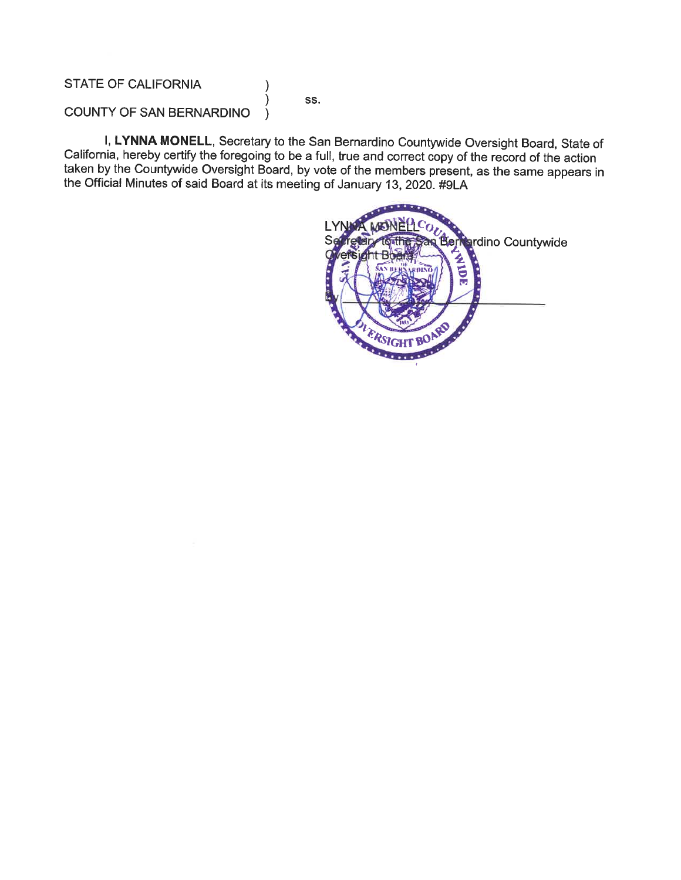#### **STATE OF CALIFORNIA**

SS.

 $\mathcal{E}$  $\lambda$ 

#### COUNTY OF SAN BERNARDINO  $\lambda$

I, LYNNA MONELL, Secretary to the San Bernardino Countywide Oversight Board, State of California, hereby certify the foregoing to be a full, true and correct copy of the record of the action taken by the Countywide Oversight Board, by vote of the members present, as the same appears in the Official Minutes of said Board at its meeting of January 13, 2020. #9LA

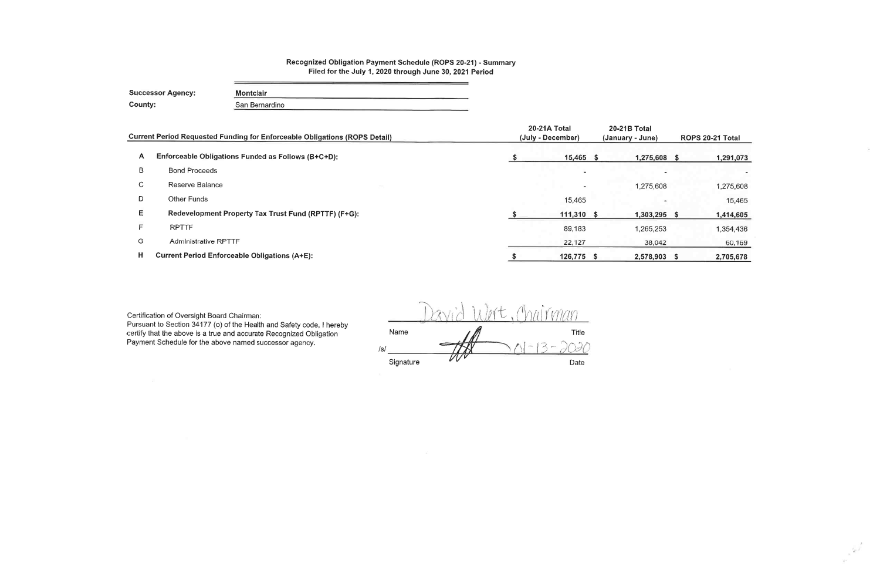### Recognized Obligation Payment Schedule (ROPS 20-21) - Summary Filed for the July 1, 2020 through June 30, 2021 Period

<u> 1980 - Andrea Andrew Maria (h. 1980).</u>

| <b>Successor Agency:</b> | <b>Montclair</b> |
|--------------------------|------------------|
| County:                  | San Bernardino   |

|    | <b>Current Period Requested Funding for Enforceable Obligations (ROPS Detail)</b> | 20-21A Total<br>(July - December) | <b>20-21B Total</b><br>(January - June) |     | ROPS 20-21 Total |
|----|-----------------------------------------------------------------------------------|-----------------------------------|-----------------------------------------|-----|------------------|
|    |                                                                                   |                                   |                                         |     |                  |
| A  | Enforceable Obligations Funded as Follows (B+C+D):                                | 15,465 \$                         | 1,275,608 \$                            |     | 1,291,073        |
| B  | <b>Bond Proceeds</b>                                                              | $\overline{\phantom{a}}$          |                                         |     |                  |
| C. | Reserve Balance                                                                   | $\,$                              | 1,275,608                               |     | 1,275,608        |
| D  | <b>Other Funds</b>                                                                | 15,465                            |                                         |     | 15,465           |
| E. | Redevelopment Property Tax Trust Fund (RPTTF) (F+G):                              | 111,310 \$                        | 1,303,295                               | - 5 | 1,414,605        |
| F. | <b>RPTTF</b>                                                                      | 89,183                            | 1,265,253                               |     | 1,354,436        |
| G  | <b>Administrative RPTTF</b>                                                       | 22,127                            | 38,042                                  |     | 60,169           |
| н  | <b>Current Period Enforceable Obligations (A+E):</b>                              | 126,775 \$                        | 2,578,903                               | S   | 2,705,678        |

Certification of Oversight Board Chairman:

Pursuant to Section 34177 (o) of the Health and Safety code, I hereby certify that the above is a true and accurate Recognized Obligation Payment Schedule for the above named successor agency.

|           | - 22 | ×, | ۰.                                        |       |
|-----------|------|----|-------------------------------------------|-------|
| Name      |      |    |                                           | Title |
| s         |      |    | $\epsilon_{\rm max}$<br>$\mu$ in $\omega$ |       |
| Signature |      |    |                                           | Date  |

 $\frac{1}{\sqrt{2}}$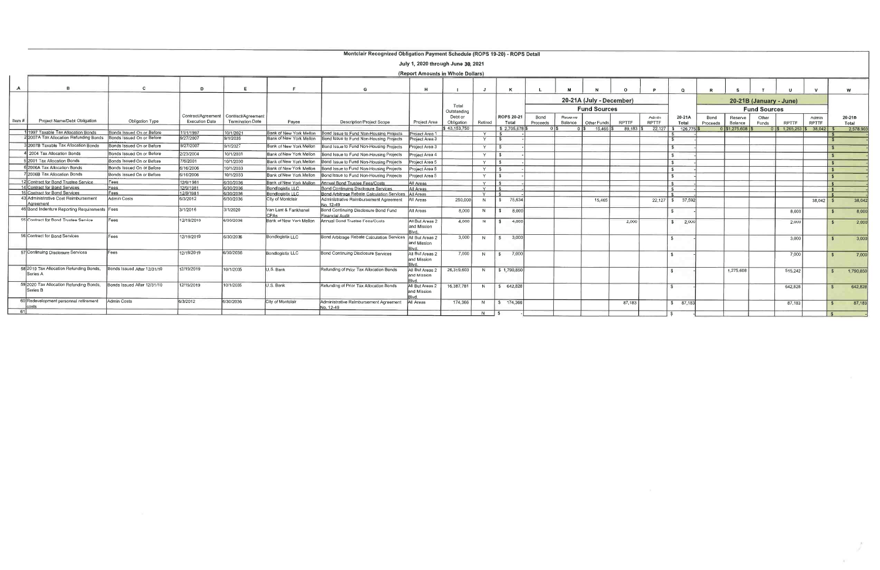#### Montclair Recognized Obligation Payment Schedule (ROPS 19-20) - ROPS Detail

|                                                                                                                           | July 1, 2020 through June 30, 2021<br>(Report Amounts in Whole Dollars) |                             |                       |                                                                    |                                |                                                                       |                                |                       |         |                         |                     |                  |                    |             |              |                       |                 |                  |                    |                               |              |                       |           |                 |
|---------------------------------------------------------------------------------------------------------------------------|-------------------------------------------------------------------------|-----------------------------|-----------------------|--------------------------------------------------------------------|--------------------------------|-----------------------------------------------------------------------|--------------------------------|-----------------------|---------|-------------------------|---------------------|------------------|--------------------|-------------|--------------|-----------------------|-----------------|------------------|--------------------|-------------------------------|--------------|-----------------------|-----------|-----------------|
|                                                                                                                           |                                                                         |                             |                       |                                                                    |                                | G                                                                     | н                              |                       | J.      |                         |                     |                  |                    |             |              | $\Omega$              |                 |                  |                    |                               |              |                       | w         |                 |
| 20-21A (July - December)<br>20-21B (January - June)<br>Total<br><b>Fund Sources</b><br><b>Fund Sources</b><br>Outstanding |                                                                         |                             |                       |                                                                    |                                |                                                                       |                                |                       |         |                         |                     |                  |                    |             |              |                       |                 |                  |                    |                               |              |                       |           |                 |
| Item#                                                                                                                     | Project Name/Debt Obligation                                            | Obligation Type             | <b>Execution Date</b> | Contract/Agreement   Contract/Agreement<br><b>Termination Date</b> | Payee                          | <b>Description/Project Scope</b>                                      | Project Area                   | Debt or<br>Obligation | Retired |                         | ROPS 20-21<br>Total | Bond<br>Proceeds | Reserve<br>Balance | Other Funds | <b>RPTTF</b> | Admin<br><b>RPTTF</b> | 20-21A<br>Total | Bond<br>Proceeds | Reserve<br>Balance | Other<br>Funds                | <b>RPTTF</b> | Admin<br><b>RPTTF</b> |           | 20-21B<br>Total |
|                                                                                                                           |                                                                         |                             |                       |                                                                    |                                |                                                                       |                                | \$43,153,750          |         | \$2.705.678             |                     |                  | $15.465$ \$<br>01s | 89.183 \$   |              | 22.127   \$ 126.775   |                 | 0 \$1,275,608    |                    | $0$ \$ 1,265,253 \$ 38,042 \$ |              |                       | 2,578.90  |                 |
|                                                                                                                           | 1997 Taxable Tax Allocation Bonds                                       | Bonds Issued On or Before   | 11/1/1997             | 10/1/2021                                                          | Bank of New York Mellon        | Bond Issue to Fund Non-Housing Projects                               | Project Area 1                 |                       | Y       |                         |                     |                  |                    |             |              |                       |                 |                  |                    |                               |              |                       |           |                 |
|                                                                                                                           | 22007A Tax Allocation Refunding Bonds                                   | Bonds Issued On or Before   | 9/27/2007             | 9/1/2035                                                           | <b>Bank of New York Mellon</b> | Bond Issue to Fund Non-Housing Projects                               | Project Area 3                 |                       | Y       | $\overline{\mathbf{s}}$ |                     |                  |                    |             |              |                       |                 |                  |                    |                               |              |                       |           |                 |
|                                                                                                                           | 2007B Taxable Tax Allocation Bonds                                      | Bonds Issued On or Before   | 9/27/2007             | 9/1/2027                                                           | Bank of New York Mellon        | Bond Issue to Fund Non-Housing Projects                               | Project Area 3                 |                       | Y.      | ∣ s                     |                     |                  |                    |             |              |                       |                 |                  |                    |                               |              |                       |           |                 |
|                                                                                                                           | 2004 Tax Allocation Bonds                                               | Bonds Issued On or Before   | 2/23/2004             | 10/1/2031                                                          | Bank of New York Mellon        | Bond Issue to Fund Non-Housing Projects                               | Project Area 4                 |                       | Y       | $\ddot{\mathbf{r}}$     |                     |                  |                    |             |              |                       |                 |                  |                    |                               |              |                       |           |                 |
|                                                                                                                           | 2001 Tax Allocation Bonds                                               | Bonds Issued On or Before   | 7/6/2001              | 10/1/2030                                                          | Bank of New York Mellon        | Bond Issue to Fund Non-Housing Projects                               | Project Area 5                 |                       | Y       |                         |                     |                  |                    |             |              | £.                    |                 |                  |                    |                               |              |                       |           |                 |
|                                                                                                                           | 6 2006A Tax Allocation Bonds                                            | Bonds Issued On or Before   | 6/16/2006             | 10/1/2033                                                          | Bank of New York Mellon        | Bond Issue to Fund Non-Housing Projects                               | Project Area 5                 |                       | Y       | - S                     |                     |                  |                    |             |              |                       |                 |                  |                    |                               |              |                       |           |                 |
|                                                                                                                           | 2006B Tax Allocation Bonds                                              | Bonds Issued On or Before   | 6/16/2006             | 10/1/2033                                                          | Bank of New York Mellon        | Bond Issue to Fund Non-Housing Projects                               | Project Area 5                 |                       | Y       | $\mathbf{C}$            |                     |                  |                    |             |              |                       |                 |                  |                    |                               |              |                       |           |                 |
|                                                                                                                           | 12 Contract for Bond Trustee Service                                    | Fees                        | 12/9/1981             | 6/30/2036                                                          | Bank of New York Mellon        | Annual Bond Trustee Fees/Costs                                        | All Areas                      |                       | Y       | Ι¢                      |                     |                  |                    |             |              |                       |                 |                  |                    |                               |              |                       |           |                 |
|                                                                                                                           | 14 Contract for Bond Services                                           | Fees                        | 12/9/1981             | 6/30/2036                                                          | Bondlogistix LLC               | <b>Bond Continuing Disclosure Services</b>                            | All Areas                      |                       | Y       | ء ا                     |                     |                  |                    |             |              | $\mathcal{S}$         |                 |                  |                    |                               |              |                       |           |                 |
|                                                                                                                           | 15 Contract for Bond Services                                           | Fees                        | 12/9/1981             | 6/30/2036                                                          | Bondlogistix LLC               | Bond Arbitrage Rebate Calculation Services   All Areas                |                                |                       | Y       | $\hat{\mathbf{z}}$      |                     |                  |                    |             |              |                       |                 |                  |                    |                               |              |                       |           |                 |
|                                                                                                                           | 43 Administrative Cost Reimbursement<br>Agreement                       | <b>Admin Costs</b>          | 6/3/2012              | 6/30/2036                                                          | City of Montclair              | Administrative Reimbursement Agreement<br>No. 12-49                   | All Areas                      | 250,000               | N       | 75.634<br>$\mathbf{s}$  |                     |                  | 15.465             |             |              | 22.127   \$ 37.592    |                 |                  |                    |                               | 38,042       |                       | 38.042    |                 |
|                                                                                                                           | 46 Bond Indenture Reporting Requirements Fees                           |                             | 3/1/2016              | 3/1/2020                                                           | Van Lant & Fankhanel<br>CPAs   | <b>Bond Continuing Disclosure Bond Fund</b><br><b>Financial Audit</b> | All Areas                      | 8.000                 | N       | 8.000<br>$\sqrt{s}$     |                     |                  |                    |             |              | $\hat{\mathbf{s}}$    |                 |                  |                    | 8,000                         |              |                       | 8,000     |                 |
|                                                                                                                           | 55 Contract for Bond Trustee Service                                    | Fees                        | 12/19/2019            | 6/30/2036                                                          | Bank of New York Mellon        | Annual Bond Trustee Fees/Costs                                        | All But Areas 2<br>and Mission | 4.000                 | N       | \$ 4,000                |                     |                  |                    | 2,000       |              | \$ 2,000              |                 |                  |                    | 2,000                         |              |                       | 2,000     |                 |
|                                                                                                                           | 56 Contract for Bond Services                                           | Fees                        | 12/19/2019            | 6/30/2036                                                          | Bondlogistix LLC               | Bond Arbitrage Rebate Calculation Services                            | All But Areas 2<br>and Mission | 3.000                 | N       | 3.000<br>$\mathbf{s}$   |                     |                  |                    |             |              |                       |                 |                  |                    | 3,000                         |              |                       | 3,000     |                 |
|                                                                                                                           | 57 Continuing Disclosure Services                                       | Fees                        | 12/19/2019            | 6/30/2036                                                          | Bondlogistix LLC               | <b>Bond Continuing Disclosure Services</b>                            | All But Areas 2<br>and Mission | 7,000                 | N       | 7.000<br>$\mathbf{s}$   |                     |                  |                    |             |              | $\mathbf{r}$          |                 |                  |                    | 7,000                         |              |                       | 7,000     |                 |
|                                                                                                                           | 58 2019 Tax Allocation Refunding Bonds,<br>Series A                     | Bonds Issued After 12/31/10 | 12/19/2019            | 10/1/2035                                                          | U.S. Bank                      | Refunding of Prior Tax Allocation Bonds                               | All But Areas 2<br>and Mission | 26,319,603            | N       | \$1,790,850             |                     |                  |                    |             |              |                       |                 | 1,275,608        |                    | 515,242                       |              | $\mathbf{S}$          | 1,790,850 |                 |
|                                                                                                                           | 59 2020 Tax Allocation Refunding Bonds,<br>Series <sub>B</sub>          | Bonds Issued After 12/31/10 | 12/19/2019            | 10/1/2035                                                          | U.S. Bank                      | Refunding of Prior Tax Allocation Bonds                               | All But Areas 2<br>and Mission | 16,387,781            | N       | \$642,828               |                     |                  |                    |             |              | $\mathcal{L}$         |                 |                  |                    | 642,828                       |              |                       | 642,828   |                 |
|                                                                                                                           | 60 Redevelopment personnel retirement<br>costs                          | Admin Costs                 | 6/3/2012              | 6/30/2036                                                          | City of Montclair              | Administrative Reimbursement Agreement<br>No. 12-49                   | All Areas                      | 174,366               | N       | \$ 174.366              |                     |                  |                    | 87.183      |              | \$87,183              |                 |                  |                    | 87.183                        |              | $\mathcal{F}$         | 87,183    |                 |
|                                                                                                                           |                                                                         |                             |                       |                                                                    |                                |                                                                       |                                |                       | N       |                         |                     |                  |                    |             |              |                       |                 |                  |                    |                               |              |                       |           |                 |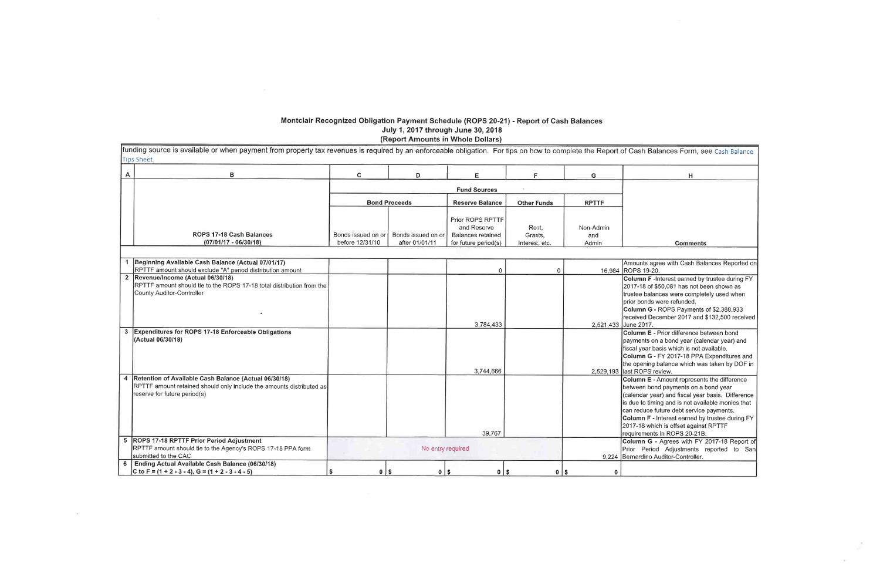# Montclair Recognized Obligation Payment Schedule (ROPS 20-21) - Report of Cash Balances<br>July 1, 2017 through June 30, 2018<br>(Report Amounts in Whole Dollars)

| A              | в                                                                                                                                                             | C.                                    | D                                    | Е                                                                                   | F.                                 | G                         |                                                                                                      |
|----------------|---------------------------------------------------------------------------------------------------------------------------------------------------------------|---------------------------------------|--------------------------------------|-------------------------------------------------------------------------------------|------------------------------------|---------------------------|------------------------------------------------------------------------------------------------------|
|                |                                                                                                                                                               |                                       |                                      | <b>Fund Sources</b>                                                                 |                                    |                           |                                                                                                      |
|                |                                                                                                                                                               |                                       | <b>Bond Proceeds</b>                 | <b>Reserve Balance</b>                                                              | <b>Other Funds</b>                 | <b>RPTTF</b>              |                                                                                                      |
|                | ROPS 17-18 Cash Balances<br>$(07/01/17 - 06/30/18)$                                                                                                           | Bonds issued on or<br>before 12/31/10 | Bonds issued on or<br>after 01/01/11 | Prior ROPS RPTTF<br>and Reserve<br><b>Balances retained</b><br>for future period(s) | Rent,<br>Grants,<br>Interest, etc. | Non-Admin<br>and<br>Admin |                                                                                                      |
|                | Beginning Available Cash Balance (Actual 07/01/17)                                                                                                            |                                       |                                      |                                                                                     |                                    |                           | Amounts                                                                                              |
|                | RPTTF amount should exclude "A" period distribution amount                                                                                                    |                                       |                                      | $\mathbf 0$                                                                         | 0                                  | 16,984 ROPS 19            |                                                                                                      |
|                | 2 Revenue/Income (Actual 06/30/18)<br>RPTTF amount should tie to the ROPS 17-18 total distribution from the<br>County Auditor-Controller                      |                                       |                                      | 3,784,433                                                                           |                                    | 2,521,433                 | Column<br>2017-18<br>trustee b<br>prior bon<br>Column<br>received<br>June 201                        |
| 3              | <b>Expenditures for ROPS 17-18 Enforceable Obligations</b><br>(Actual 06/30/18)                                                                               |                                       |                                      | 3,744,666                                                                           |                                    |                           | Column<br>payment<br>fiscal yea<br>Column<br>the open                                                |
| 4              | Retention of Available Cash Balance (Actual 06/30/18)<br>RPTTF amount retained should only include the amounts distributed as<br>reserve for future period(s) |                                       |                                      | 39,767                                                                              |                                    | 2,529,193 last ROP        | <b>Column</b><br>between<br>calenda<br>is due to<br>can redu<br><b>Column</b><br>2017-18<br>requirem |
|                | 5 ROPS 17-18 RPTTF Prior Period Adjustment<br>RPTTF amount should tie to the Agency's ROPS 17-18 PPA form<br>submitted to the CAC                             |                                       | No entry required                    |                                                                                     |                                    | 9,224 Bernardir           | <b>Column</b><br>Prior Pe                                                                            |
| 6 <sup>1</sup> | Ending Actual Available Cash Balance (06/30/18)<br>C to F = $(1 + 2 - 3 - 4)$ , G = $(1 + 2 - 3 - 4 - 5)$                                                     | <b>S</b><br>$0$   \$                  | $0$   \$                             | $0$   \$                                                                            | $0$   \$                           | $\bf{0}$                  |                                                                                                      |

 $\sim 50$ 

 $\sim 10^{-1}$ 

| Balances Form, see Cash Balance                                           |
|---------------------------------------------------------------------------|
| н                                                                         |
|                                                                           |
|                                                                           |
|                                                                           |
|                                                                           |
|                                                                           |
| Comments                                                                  |
|                                                                           |
| agree with Cash Balances Reported on<br>9-20.                             |
| F-Interest earned by trustee during FY                                    |
| of \$50,081 has not been shown as                                         |
| alances were completely used when                                         |
| ds were refunded.                                                         |
| G - ROPS Payments of \$2,388,933                                          |
| December 2017 and \$132,500 received                                      |
| 17.                                                                       |
| E - Prior difference between bond<br>s on a bond year (calendar year) and |
| ar basis which is not available.                                          |
| G - FY 2017-18 PPA Expenditures and                                       |
| ing balance which was taken by DOF in                                     |
| S review.                                                                 |
| E - Amount represents the difference                                      |
| bond payments on a bond year                                              |
| year) and fiscal year basis. Difference                                   |
| timing and is not available monies that                                   |
| ce future debt service payments.                                          |
| F - Interest earned by trustee during FY                                  |
| which is offset against RPTTF                                             |
| ents in ROPS 20-21B.                                                      |
| G - Agrees with FY 2017-18 Report of                                      |
| eriod Adjustments reported to<br>San                                      |
| no Auditor-Controller.                                                    |
|                                                                           |